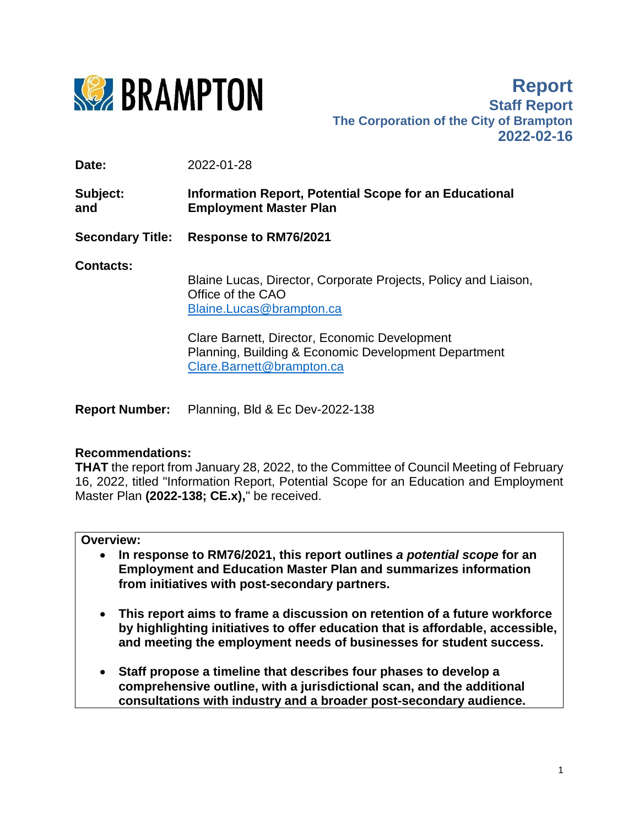

**Report Staff Report The Corporation of the City of Brampton 2022-02-16**

**Date:** 2022-01-28

**Subject: Information Report, Potential Scope for an Educational and Employment Master Plan**

**Secondary Title: Response to RM76/2021** 

**Contacts:**

Blaine Lucas, Director, Corporate Projects, Policy and Liaison, Office of the CAO [Blaine.Lucas@brampton.ca](mailto:Blaine.Lucas@brampton.ca)

Clare Barnett, Director, Economic Development Planning, Building & Economic Development Department [Clare.Barnett@brampton.ca](mailto:Clare.Barnett@brampton.ca)

**Report Number:** Planning, Bld & Ec Dev-2022-138

# **Recommendations:**

**THAT** the report from January 28, 2022, to the Committee of Council Meeting of February 16, 2022, titled "Information Report, Potential Scope for an Education and Employment Master Plan **(2022-138; CE.x),**" be received.

# **Overview:**

- **In response to RM76/2021, this report outlines** *a potential scope* **for an Employment and Education Master Plan and summarizes information from initiatives with post-secondary partners.**
- **This report aims to frame a discussion on retention of a future workforce by highlighting initiatives to offer education that is affordable, accessible, and meeting the employment needs of businesses for student success.**
- **Staff propose a timeline that describes four phases to develop a comprehensive outline, with a jurisdictional scan, and the additional consultations with industry and a broader post-secondary audience.**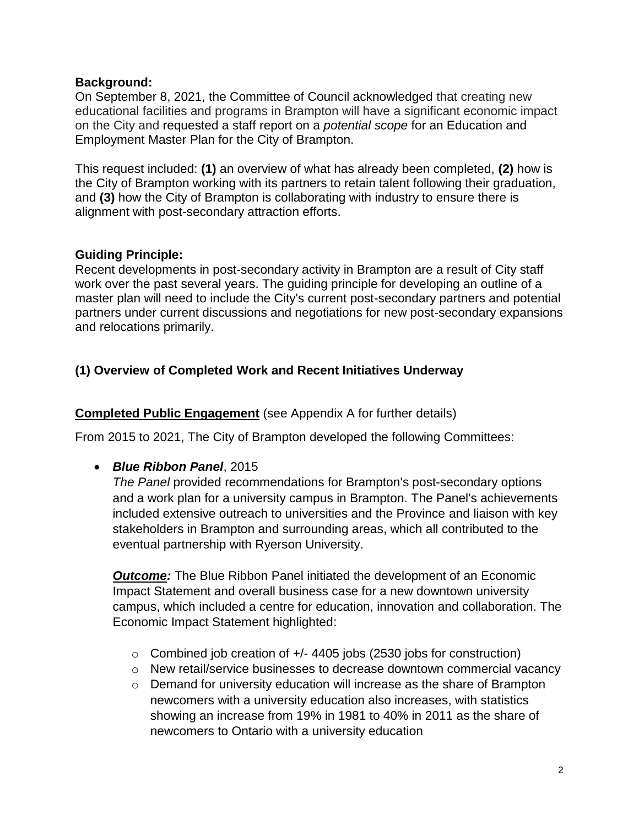### **Background:**

On September 8, 2021, the Committee of Council acknowledged that creating new educational facilities and programs in Brampton will have a significant economic impact on the City and requested a staff report on a *potential scope* for an Education and Employment Master Plan for the City of Brampton.

This request included: **(1)** an overview of what has already been completed, **(2)** how is the City of Brampton working with its partners to retain talent following their graduation, and **(3)** how the City of Brampton is collaborating with industry to ensure there is alignment with post-secondary attraction efforts.

# **Guiding Principle:**

Recent developments in post-secondary activity in Brampton are a result of City staff work over the past several years. The guiding principle for developing an outline of a master plan will need to include the City's current post-secondary partners and potential partners under current discussions and negotiations for new post-secondary expansions and relocations primarily.

# **(1) Overview of Completed Work and Recent Initiatives Underway**

### **Completed Public Engagement** (see Appendix A for further details)

From 2015 to 2021, The City of Brampton developed the following Committees:

*Blue Ribbon Panel*, 2015

*The Panel* provided recommendations for Brampton's post-secondary options and a work plan for a university campus in Brampton. The Panel's achievements included extensive outreach to universities and the Province and liaison with key stakeholders in Brampton and surrounding areas, which all contributed to the eventual partnership with Ryerson University.

*Outcome:* The Blue Ribbon Panel initiated the development of an Economic Impact Statement and overall business case for a new downtown university campus, which included a centre for education, innovation and collaboration. The Economic Impact Statement highlighted:

- o Combined job creation of +/- 4405 jobs (2530 jobs for construction)
- o New retail/service businesses to decrease downtown commercial vacancy
- o Demand for university education will increase as the share of Brampton newcomers with a university education also increases, with statistics showing an increase from 19% in 1981 to 40% in 2011 as the share of newcomers to Ontario with a university education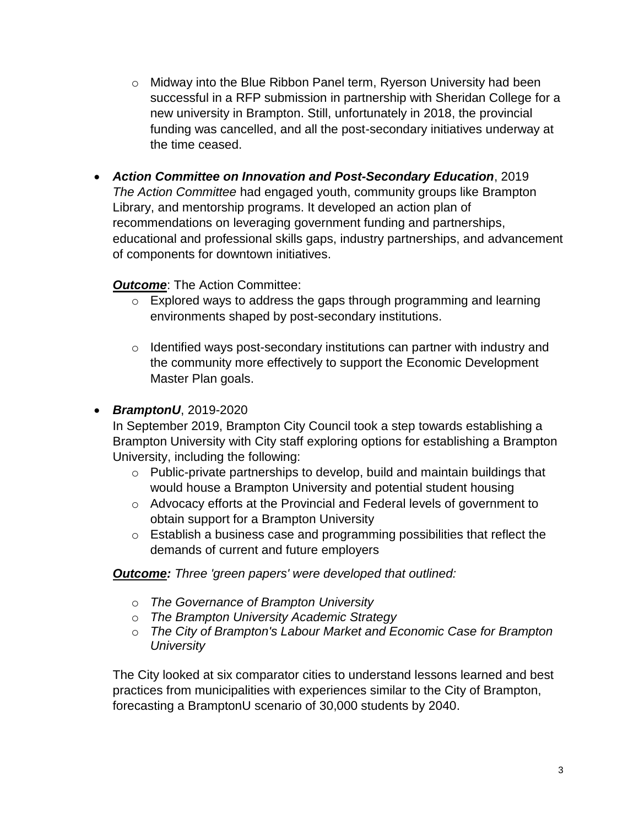- o Midway into the Blue Ribbon Panel term, Ryerson University had been successful in a RFP submission in partnership with Sheridan College for a new university in Brampton. Still, unfortunately in 2018, the provincial funding was cancelled, and all the post-secondary initiatives underway at the time ceased.
- *Action Committee on Innovation and Post-Secondary Education*, 2019 *The Action Committee* had engaged youth, community groups like Brampton Library, and mentorship programs. It developed an action plan of recommendations on leveraging government funding and partnerships, educational and professional skills gaps, industry partnerships, and advancement of components for downtown initiatives.

### **Outcome:** The Action Committee:

- o Explored ways to address the gaps through programming and learning environments shaped by post-secondary institutions.
- o Identified ways post-secondary institutions can partner with industry and the community more effectively to support the Economic Development Master Plan goals.
- *BramptonU*, 2019-2020

In September 2019, Brampton City Council took a step towards establishing a Brampton University with City staff exploring options for establishing a Brampton University, including the following:

- o Public-private partnerships to develop, build and maintain buildings that would house a Brampton University and potential student housing
- o Advocacy efforts at the Provincial and Federal levels of government to obtain support for a Brampton University
- o Establish a business case and programming possibilities that reflect the demands of current and future employers

*Outcome: Three 'green papers' were developed that outlined:*

- o *The Governance of Brampton University*
- o *The Brampton University Academic Strategy*
- o *The City of Brampton's Labour Market and Economic Case for Brampton University*

The City looked at six comparator cities to understand lessons learned and best practices from municipalities with experiences similar to the City of Brampton, forecasting a BramptonU scenario of 30,000 students by 2040.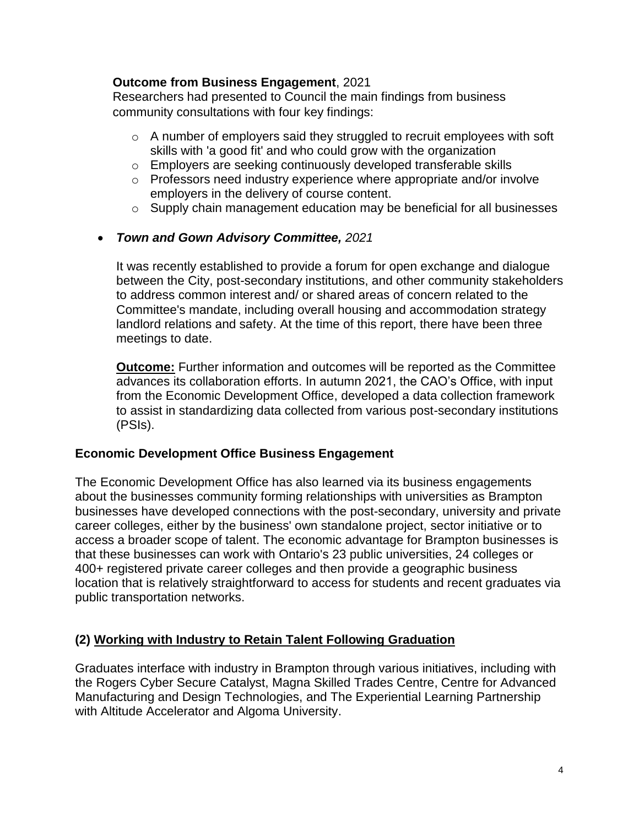### **Outcome from Business Engagement**, 2021

Researchers had presented to Council the main findings from business community consultations with four key findings:

- o A number of employers said they struggled to recruit employees with soft skills with 'a good fit' and who could grow with the organization
- o Employers are seeking continuously developed transferable skills
- o Professors need industry experience where appropriate and/or involve employers in the delivery of course content.
- o Supply chain management education may be beneficial for all businesses

# *Town and Gown Advisory Committee, 2021*

It was recently established to provide a forum for open exchange and dialogue between the City, post-secondary institutions, and other community stakeholders to address common interest and/ or shared areas of concern related to the Committee's mandate, including overall housing and accommodation strategy landlord relations and safety. At the time of this report, there have been three meetings to date.

**Outcome:** Further information and outcomes will be reported as the Committee advances its collaboration efforts. In autumn 2021, the CAO's Office, with input from the Economic Development Office, developed a data collection framework to assist in standardizing data collected from various post-secondary institutions (PSIs).

# **Economic Development Office Business Engagement**

The Economic Development Office has also learned via its business engagements about the businesses community forming relationships with universities as Brampton businesses have developed connections with the post-secondary, university and private career colleges, either by the business' own standalone project, sector initiative or to access a broader scope of talent. The economic advantage for Brampton businesses is that these businesses can work with Ontario's 23 public universities, 24 colleges or 400+ registered private career colleges and then provide a geographic business location that is relatively straightforward to access for students and recent graduates via public transportation networks.

# **(2) Working with Industry to Retain Talent Following Graduation**

Graduates interface with industry in Brampton through various initiatives, including with the Rogers Cyber Secure Catalyst, Magna Skilled Trades Centre, Centre for Advanced Manufacturing and Design Technologies, and The Experiential Learning Partnership with Altitude Accelerator and Algoma University.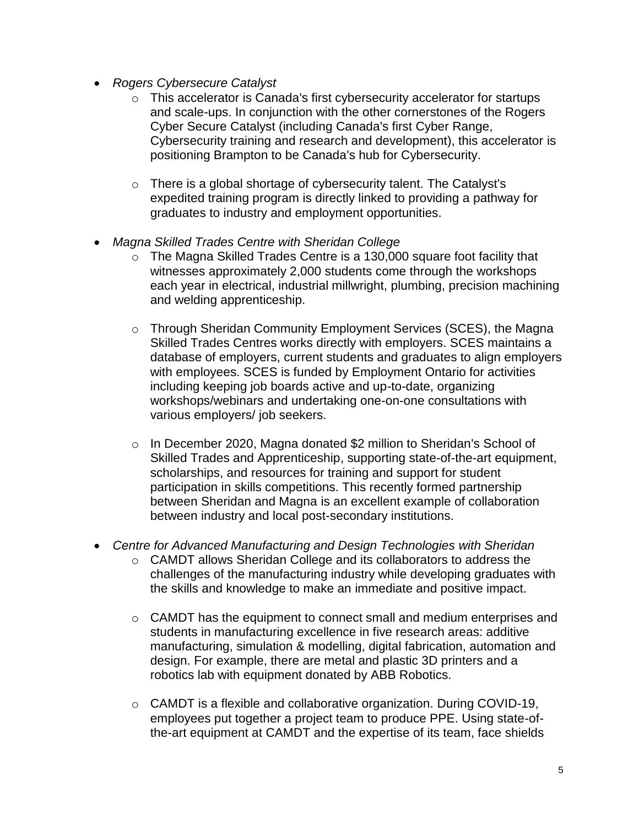- *Rogers Cybersecure Catalyst* 
	- o This accelerator is Canada's first cybersecurity accelerator for startups and scale-ups. In conjunction with the other cornerstones of the Rogers Cyber Secure Catalyst (including Canada's first Cyber Range, Cybersecurity training and research and development), this accelerator is positioning Brampton to be Canada's hub for Cybersecurity.
	- o There is a global shortage of cybersecurity talent. The Catalyst's expedited training program is directly linked to providing a pathway for graduates to industry and employment opportunities.
- *Magna Skilled Trades Centre with Sheridan College*
	- o The Magna Skilled Trades Centre is a 130,000 square foot facility that witnesses approximately 2,000 students come through the workshops each year in electrical, industrial millwright, plumbing, precision machining and welding apprenticeship.
	- o Through Sheridan Community Employment Services (SCES), the Magna Skilled Trades Centres works directly with employers. SCES maintains a database of employers, current students and graduates to align employers with employees. SCES is funded by Employment Ontario for activities including keeping job boards active and up-to-date, organizing workshops/webinars and undertaking one-on-one consultations with various employers/ job seekers.
	- o In December 2020, Magna donated \$2 million to Sheridan's School of Skilled Trades and Apprenticeship, supporting state-of-the-art equipment, scholarships, and resources for training and support for student participation in skills competitions. This recently formed partnership between Sheridan and Magna is an excellent example of collaboration between industry and local post-secondary institutions.
- *Centre for Advanced Manufacturing and Design Technologies with Sheridan*
	- o CAMDT allows Sheridan College and its collaborators to address the challenges of the manufacturing industry while developing graduates with the skills and knowledge to make an immediate and positive impact.
	- $\circ$  CAMDT has the equipment to connect small and medium enterprises and students in manufacturing excellence in five research areas: additive manufacturing, simulation & modelling, digital fabrication, automation and design. For example, there are metal and plastic 3D printers and a robotics lab with equipment donated by ABB Robotics.
	- o CAMDT is a flexible and collaborative organization. During COVID-19, employees put together a project team to produce PPE. Using state-ofthe-art equipment at CAMDT and the expertise of its team, face shields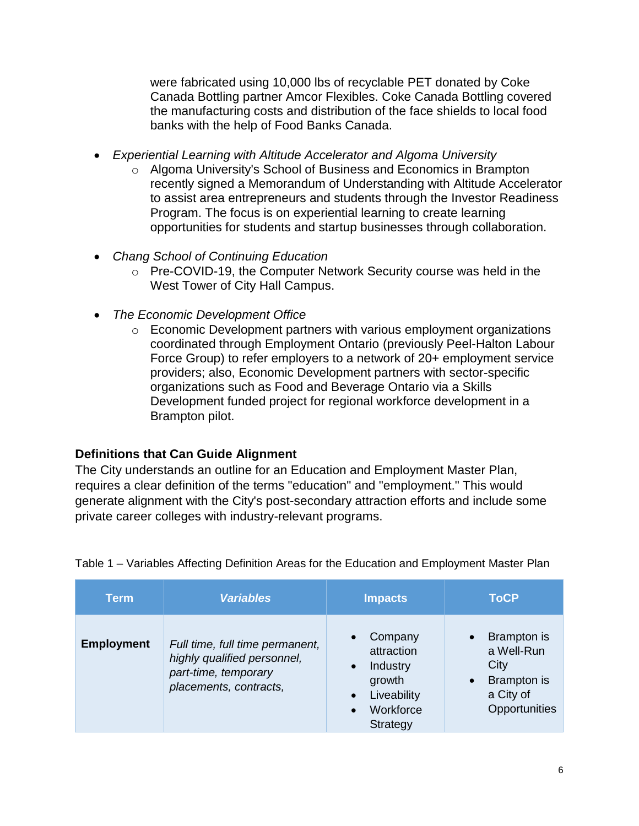were fabricated using 10,000 lbs of recyclable PET donated by Coke Canada Bottling partner Amcor Flexibles. Coke Canada Bottling covered the manufacturing costs and distribution of the face shields to local food banks with the help of Food Banks Canada.

- *Experiential Learning with Altitude Accelerator and Algoma University*
	- o Algoma University's School of Business and Economics in Brampton recently signed a Memorandum of Understanding with Altitude Accelerator to assist area entrepreneurs and students through the Investor Readiness Program. The focus is on experiential learning to create learning opportunities for students and startup businesses through collaboration.
- *Chang School of Continuing Education*
	- o Pre-COVID-19, the Computer Network Security course was held in the West Tower of City Hall Campus.
- *The Economic Development Office*
	- o Economic Development partners with various employment organizations coordinated through Employment Ontario (previously Peel-Halton Labour Force Group) to refer employers to a network of 20+ employment service providers; also, Economic Development partners with sector-specific organizations such as Food and Beverage Ontario via a Skills Development funded project for regional workforce development in a Brampton pilot.

### **Definitions that Can Guide Alignment**

The City understands an outline for an Education and Employment Master Plan, requires a clear definition of the terms "education" and "employment." This would generate alignment with the City's post-secondary attraction efforts and include some private career colleges with industry-relevant programs.

| Term              | <b>Variables</b>                                                                                                 | <b>Impacts</b>                                                                                                | <b>ToCP</b>                                                                    |
|-------------------|------------------------------------------------------------------------------------------------------------------|---------------------------------------------------------------------------------------------------------------|--------------------------------------------------------------------------------|
| <b>Employment</b> | Full time, full time permanent,<br>highly qualified personnel,<br>part-time, temporary<br>placements, contracts, | Company<br>attraction<br>Industry<br>growth<br>Liveability<br>$\bullet$<br>Workforce<br>$\bullet$<br>Strategy | Brampton is<br>a Well-Run<br>City<br>Brampton is<br>a City of<br>Opportunities |

Table 1 – Variables Affecting Definition Areas for the Education and Employment Master Plan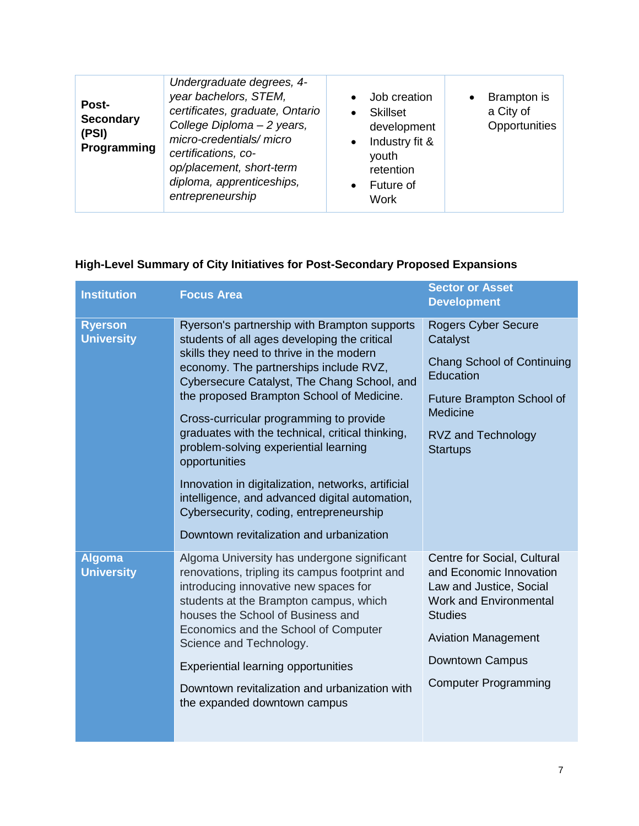| Undergraduate degrees, 4-<br>year bachelors, STEM,<br>Post-<br>certificates, graduate, Ontario<br><b>Secondary</b><br>College Diploma - 2 years,<br>(PSI)<br>micro-credentials/micro<br>Programming<br>certifications, co-<br>op/placement, short-term<br>diploma, apprenticeships,<br>entrepreneurship | $\bullet$<br>$\bullet$<br>$\bullet$ | Job creation<br><b>Skillset</b><br>development<br>Industry fit &<br>youth<br>retention<br>Future of<br>Work | $\bullet$ | Brampton is<br>a City of<br>Opportunities |
|---------------------------------------------------------------------------------------------------------------------------------------------------------------------------------------------------------------------------------------------------------------------------------------------------------|-------------------------------------|-------------------------------------------------------------------------------------------------------------|-----------|-------------------------------------------|
|---------------------------------------------------------------------------------------------------------------------------------------------------------------------------------------------------------------------------------------------------------------------------------------------------------|-------------------------------------|-------------------------------------------------------------------------------------------------------------|-----------|-------------------------------------------|

# **High-Level Summary of City Initiatives for Post-Secondary Proposed Expansions**

| <b>Institution</b>                  | <b>Focus Area</b>                                                                                                                                                                                                                                                                                                                                                                                                                                                                                                                                                                                                                      | <b>Sector or Asset</b><br><b>Development</b>                                                                                                                                                                         |
|-------------------------------------|----------------------------------------------------------------------------------------------------------------------------------------------------------------------------------------------------------------------------------------------------------------------------------------------------------------------------------------------------------------------------------------------------------------------------------------------------------------------------------------------------------------------------------------------------------------------------------------------------------------------------------------|----------------------------------------------------------------------------------------------------------------------------------------------------------------------------------------------------------------------|
| <b>Ryerson</b><br><b>University</b> | Ryerson's partnership with Brampton supports<br>students of all ages developing the critical<br>skills they need to thrive in the modern<br>economy. The partnerships include RVZ,<br>Cybersecure Catalyst, The Chang School, and<br>the proposed Brampton School of Medicine.<br>Cross-curricular programming to provide<br>graduates with the technical, critical thinking,<br>problem-solving experiential learning<br>opportunities<br>Innovation in digitalization, networks, artificial<br>intelligence, and advanced digital automation,<br>Cybersecurity, coding, entrepreneurship<br>Downtown revitalization and urbanization | <b>Rogers Cyber Secure</b><br>Catalyst<br><b>Chang School of Continuing</b><br>Education<br>Future Brampton School of<br><b>Medicine</b><br><b>RVZ and Technology</b><br><b>Startups</b>                             |
| <b>Algoma</b><br><b>University</b>  | Algoma University has undergone significant<br>renovations, tripling its campus footprint and<br>introducing innovative new spaces for<br>students at the Brampton campus, which<br>houses the School of Business and<br>Economics and the School of Computer<br>Science and Technology.<br><b>Experiential learning opportunities</b><br>Downtown revitalization and urbanization with<br>the expanded downtown campus                                                                                                                                                                                                                | Centre for Social, Cultural<br>and Economic Innovation<br>Law and Justice, Social<br><b>Work and Environmental</b><br><b>Studies</b><br><b>Aviation Management</b><br>Downtown Campus<br><b>Computer Programming</b> |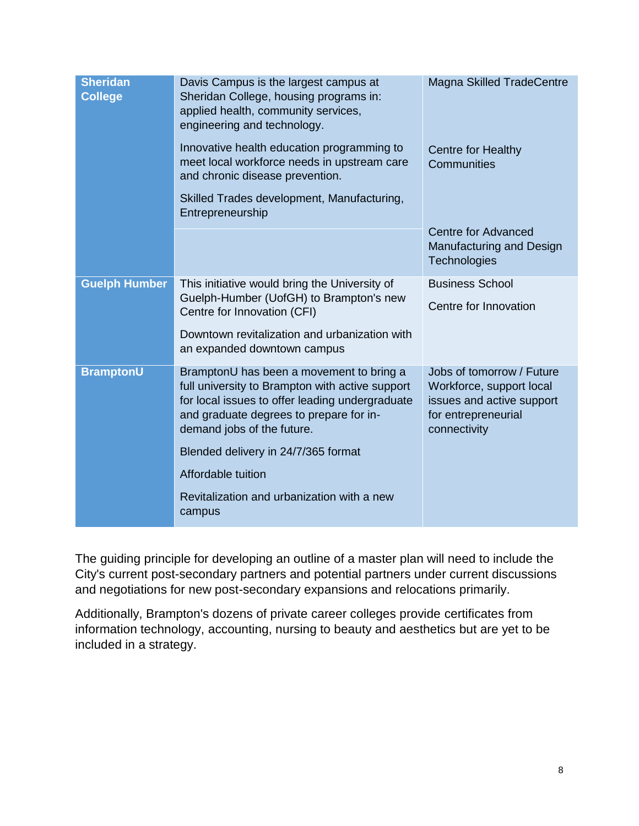| <b>Sheridan</b><br><b>College</b> | Davis Campus is the largest campus at<br>Sheridan College, housing programs in:<br>applied health, community services,<br>engineering and technology.                                                                   | <b>Magna Skilled TradeCentre</b>                                                                                          |
|-----------------------------------|-------------------------------------------------------------------------------------------------------------------------------------------------------------------------------------------------------------------------|---------------------------------------------------------------------------------------------------------------------------|
|                                   | Innovative health education programming to<br>meet local workforce needs in upstream care<br>and chronic disease prevention.                                                                                            | <b>Centre for Healthy</b><br>Communities                                                                                  |
|                                   | Skilled Trades development, Manufacturing,<br>Entrepreneurship                                                                                                                                                          |                                                                                                                           |
|                                   |                                                                                                                                                                                                                         | Centre for Advanced<br>Manufacturing and Design<br>Technologies                                                           |
| <b>Guelph Humber</b>              | This initiative would bring the University of                                                                                                                                                                           | <b>Business School</b>                                                                                                    |
|                                   | Guelph-Humber (UofGH) to Brampton's new<br>Centre for Innovation (CFI)                                                                                                                                                  | Centre for Innovation                                                                                                     |
|                                   | Downtown revitalization and urbanization with<br>an expanded downtown campus                                                                                                                                            |                                                                                                                           |
| <b>BramptonU</b>                  | BramptonU has been a movement to bring a<br>full university to Brampton with active support<br>for local issues to offer leading undergraduate<br>and graduate degrees to prepare for in-<br>demand jobs of the future. | Jobs of tomorrow / Future<br>Workforce, support local<br>issues and active support<br>for entrepreneurial<br>connectivity |
|                                   | Blended delivery in 24/7/365 format                                                                                                                                                                                     |                                                                                                                           |
|                                   | Affordable tuition                                                                                                                                                                                                      |                                                                                                                           |
|                                   | Revitalization and urbanization with a new<br>campus                                                                                                                                                                    |                                                                                                                           |

The guiding principle for developing an outline of a master plan will need to include the City's current post-secondary partners and potential partners under current discussions and negotiations for new post-secondary expansions and relocations primarily.

Additionally, Brampton's dozens of private career colleges provide certificates from information technology, accounting, nursing to beauty and aesthetics but are yet to be included in a strategy.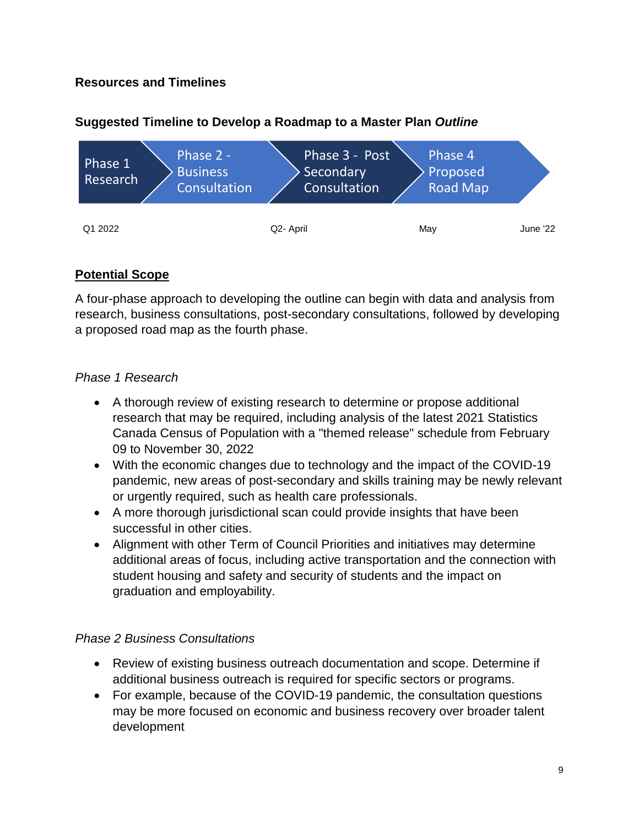# **Resources and Timelines**



# **Suggested Timeline to Develop a Roadmap to a Master Plan** *Outline*

# **Potential Scope**

A four-phase approach to developing the outline can begin with data and analysis from research, business consultations, post-secondary consultations, followed by developing a proposed road map as the fourth phase.

# *Phase 1 Research*

- A thorough review of existing research to determine or propose additional research that may be required, including analysis of the latest 2021 Statistics Canada Census of Population with a "themed release" schedule from February 09 to November 30, 2022
- With the economic changes due to technology and the impact of the COVID-19 pandemic, new areas of post-secondary and skills training may be newly relevant or urgently required, such as health care professionals.
- A more thorough jurisdictional scan could provide insights that have been successful in other cities.
- Alignment with other Term of Council Priorities and initiatives may determine additional areas of focus, including active transportation and the connection with student housing and safety and security of students and the impact on graduation and employability.

### *Phase 2 Business Consultations*

- Review of existing business outreach documentation and scope. Determine if additional business outreach is required for specific sectors or programs.
- For example, because of the COVID-19 pandemic, the consultation questions may be more focused on economic and business recovery over broader talent development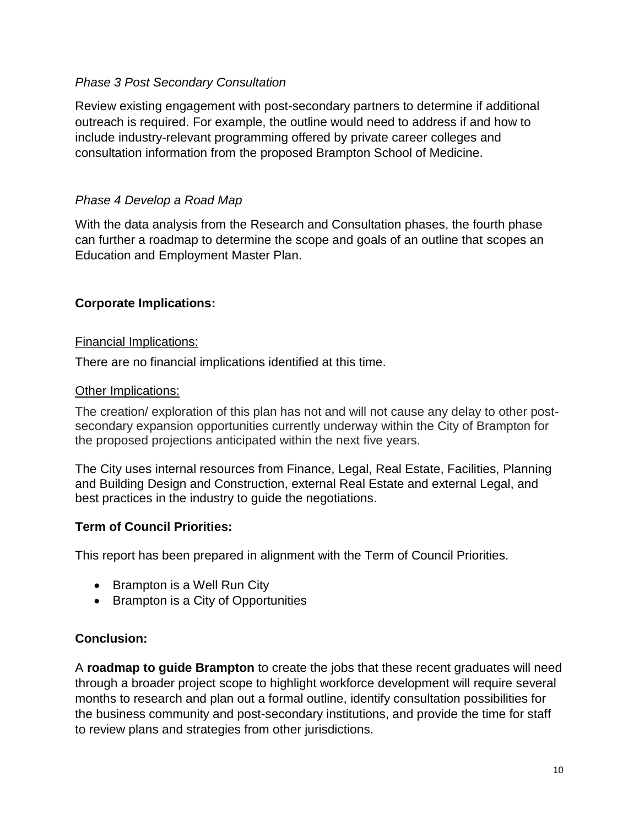# *Phase 3 Post Secondary Consultation*

Review existing engagement with post-secondary partners to determine if additional outreach is required. For example, the outline would need to address if and how to include industry-relevant programming offered by private career colleges and consultation information from the proposed Brampton School of Medicine.

### *Phase 4 Develop a Road Map*

With the data analysis from the Research and Consultation phases, the fourth phase can further a roadmap to determine the scope and goals of an outline that scopes an Education and Employment Master Plan.

# **Corporate Implications:**

### Financial Implications:

There are no financial implications identified at this time.

#### Other Implications:

The creation/ exploration of this plan has not and will not cause any delay to other postsecondary expansion opportunities currently underway within the City of Brampton for the proposed projections anticipated within the next five years.

The City uses internal resources from Finance, Legal, Real Estate, Facilities, Planning and Building Design and Construction, external Real Estate and external Legal, and best practices in the industry to guide the negotiations.

### **Term of Council Priorities:**

This report has been prepared in alignment with the Term of Council Priorities.

- Brampton is a Well Run City
- Brampton is a City of Opportunities

### **Conclusion:**

A **roadmap to guide Brampton** to create the jobs that these recent graduates will need through a broader project scope to highlight workforce development will require several months to research and plan out a formal outline, identify consultation possibilities for the business community and post-secondary institutions, and provide the time for staff to review plans and strategies from other jurisdictions.